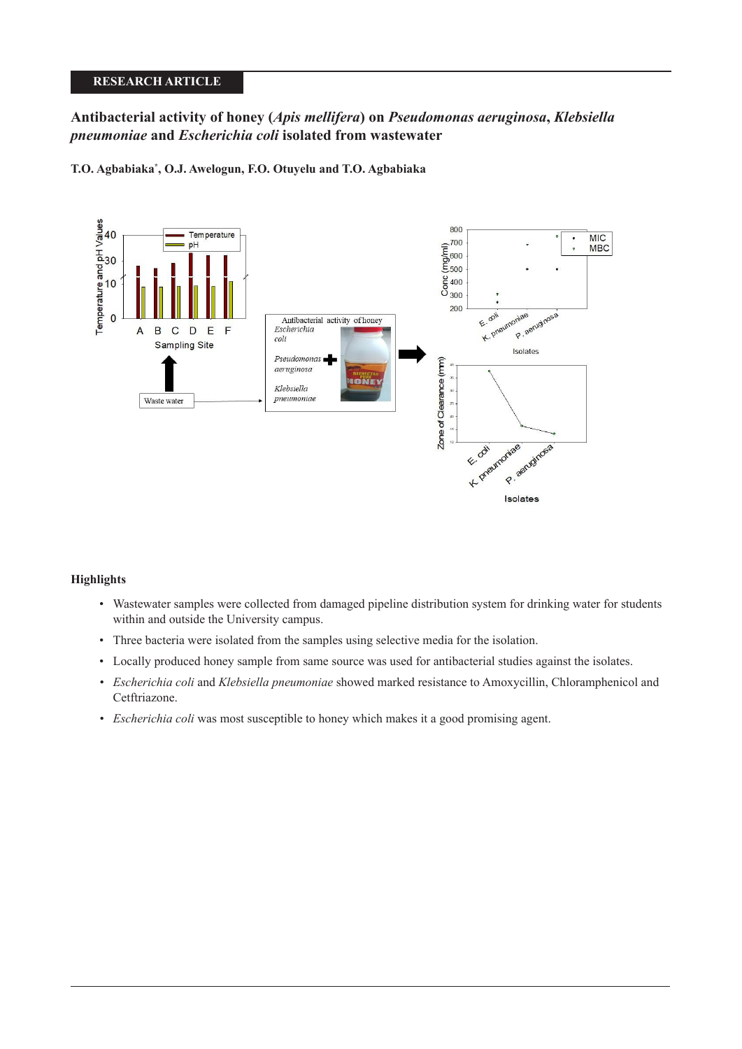# **RESEARCH ARTICLE**

# **Antibacterial activity of honey (***Apis mellifera***) on** *Pseudomonas aeruginosa***,** *Klebsiella pneumoniae* **and** *Escherichia coli* **isolated from wastewater**

**T.O. Agbabiaka\* , O.J. Awelogun, F.O. Otuyelu and T.O. Agbabiaka**



# **Highlights**

- Wastewater samples were collected from damaged pipeline distribution system for drinking water for students within and outside the University campus.
- Three bacteria were isolated from the samples using selective media for the isolation.
- Locally produced honey sample from same source was used for antibacterial studies against the isolates.
- *Escherichia coli* and *Klebsiella pneumoniae* showed marked resistance to Amoxycillin, Chloramphenicol and Cetftriazone.
- *Escherichia coli* was most susceptible to honey which makes it a good promising agent.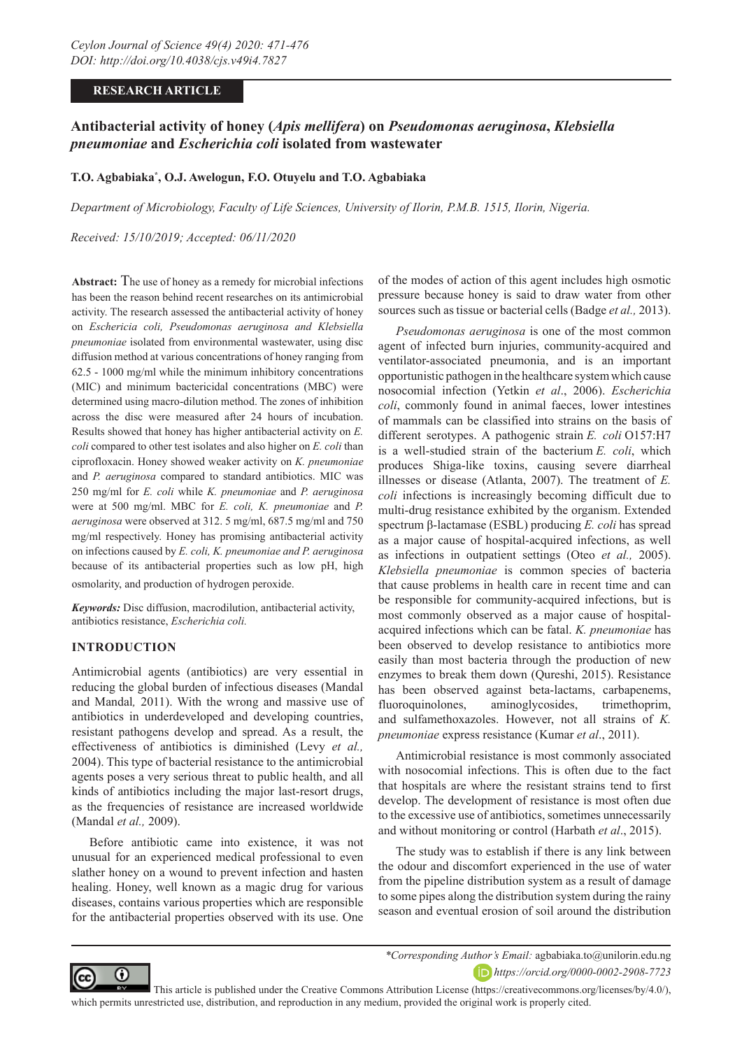# **RESEARCH ARTICLE**

# **Antibacterial activity of honey (***Apis mellifera***) on** *Pseudomonas aeruginosa***,** *Klebsiella pneumoniae* **and** *Escherichia coli* **isolated from wastewater**

# **T.O. Agbabiaka\* , O.J. Awelogun, F.O. Otuyelu and T.O. Agbabiaka**

*Department of Microbiology, Faculty of Life Sciences, University of Ilorin, P.M.B. 1515, Ilorin, Nigeria.*

*Received: 15/10/2019; Accepted: 06/11/2020*

**Abstract:** The use of honey as a remedy for microbial infections has been the reason behind recent researches on its antimicrobial activity. The research assessed the antibacterial activity of honey on *Eschericia coli, Pseudomonas aeruginosa and Klebsiella pneumoniae* isolated from environmental wastewater, using disc diffusion method at various concentrations of honey ranging from 62.5 - 1000 mg/ml while the minimum inhibitory concentrations (MIC) and minimum bactericidal concentrations (MBC) were determined using macro-dilution method. The zones of inhibition across the disc were measured after 24 hours of incubation. Results showed that honey has higher antibacterial activity on *E. coli* compared to other test isolates and also higher on *E. coli* than ciprofloxacin. Honey showed weaker activity on *K. pneumoniae* and *P. aeruginosa* compared to standard antibiotics. MIC was 250 mg/ml for *E. coli* while *K. pneumoniae* and *P. aeruginosa* were at 500 mg/ml. MBC for *E. coli, K. pneumoniae* and *P. aeruginosa* were observed at 312. 5 mg/ml, 687.5 mg/ml and 750 mg/ml respectively. Honey has promising antibacterial activity on infections caused by *E. coli, K. pneumoniae and P. aeruginosa* because of its antibacterial properties such as low pH, high osmolarity, and production of hydrogen peroxide.

*Keywords:* Disc diffusion, macrodilution, antibacterial activity, antibiotics resistance, *Escherichia coli.*

# **INTRODUCTION**

Antimicrobial agents (antibiotics) are very essential in reducing the global burden of infectious diseases (Mandal and Mandal*,* 2011). With the wrong and massive use of antibiotics in underdeveloped and developing countries, resistant pathogens develop and spread. As a result, the effectiveness of antibiotics is diminished (Levy *et al.,*  2004). This type of bacterial resistance to the antimicrobial agents poses a very serious threat to public health, and all kinds of antibiotics including the major last-resort drugs, as the frequencies of resistance are increased worldwide (Mandal *et al.,* 2009).

Before antibiotic came into existence, it was not unusual for an experienced medical professional to even slather honey on a wound to prevent infection and hasten healing. Honey, well known as a magic drug for various diseases, contains various properties which are responsible for the antibacterial properties observed with its use. One

of the modes of action of this agent includes high osmotic pressure because honey is said to draw water from other sources such as tissue or bacterial cells (Badge *et al.,* 2013).

*Pseudomonas aeruginosa* is one of the most common agent of infected burn injuries, community-acquired and ventilator-associated pneumonia, and is an important opportunistic pathogen in the healthcare system which cause nosocomial infection (Yetkin *et al*., 2006). *Escherichia coli*, commonly found in animal faeces, lower intestines of mammals can be classified into strains on the basis of different serotypes. A pathogenic strain *E. coli* O157:H7 is a well-studied strain of the bacterium *E. coli*, which produces Shiga-like toxins, causing severe diarrheal illnesses or disease (Atlanta, 2007). The treatment of *E. coli* infections is increasingly becoming difficult due to multi-drug resistance exhibited by the organism. Extended spectrum β-lactamase (ESBL) producing *E. coli* has spread as a major cause of hospital-acquired infections, as well as infections in outpatient settings (Oteo *et al.,* 2005). *Klebsiella pneumoniae* is common species of bacteria that cause problems in health care in recent time and can be responsible for community-acquired infections, but is most commonly observed as a major cause of hospitalacquired infections which can be fatal. *K. pneumoniae* has been observed to develop resistance to antibiotics more easily than most bacteria through the production of new enzymes to break them down (Qureshi, 2015). Resistance has been observed against beta-lactams, carbapenems, fluoroquinolones, aminoglycosides, trimethoprim, and sulfamethoxazoles. However, not all strains of *K. pneumoniae* express resistance (Kumar *et al*., 2011).

Antimicrobial resistance is most commonly associated with nosocomial infections. This is often due to the fact that hospitals are where the resistant strains tend to first develop. The development of resistance is most often due to the excessive use of antibiotics, sometimes unnecessarily and without monitoring or control (Harbath *et al*., 2015).

The study was to establish if there is any link between the odour and discomfort experienced in the use of water from the pipeline distribution system as a result of damage to some pipes along the distribution system during the rainy season and eventual erosion of soil around the distribution



*\*Corresponding Author's Email:* agbabiaka.to@unilorin.edu.ng *https://orcid.org/0000-0002-2908-7723*

 This article is published under the Creative Commons Attribution License (https://creativecommons.org/licenses/by/4.0/), which permits unrestricted use, distribution, and reproduction in any medium, provided the original work is properly cited.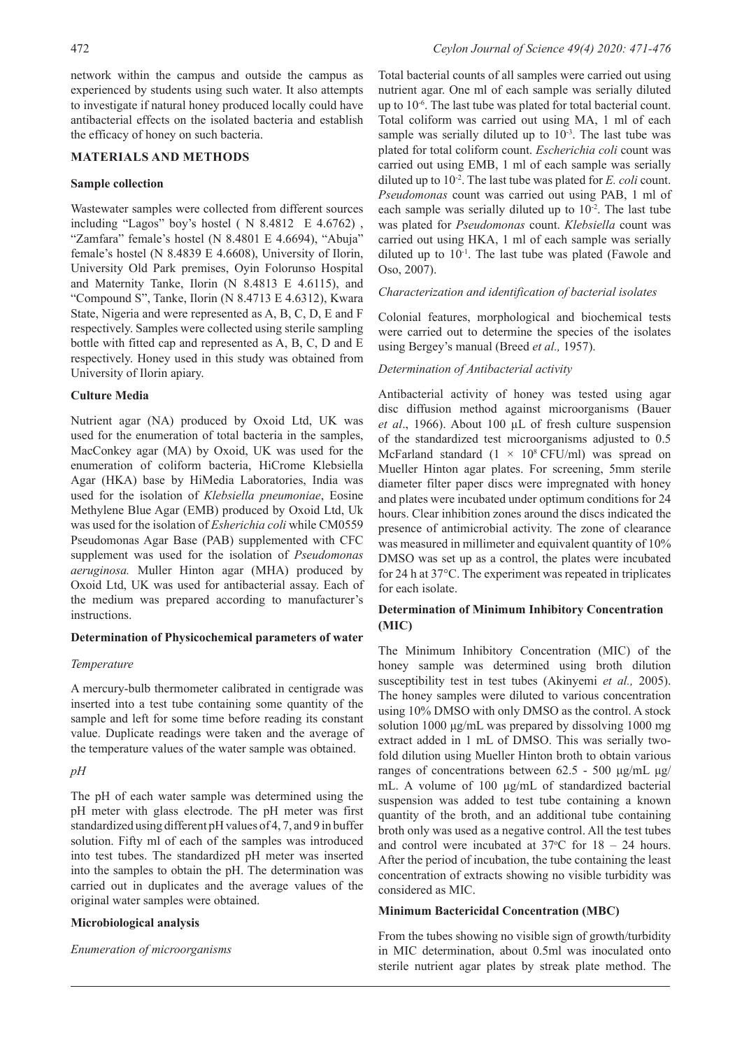network within the campus and outside the campus as experienced by students using such water. It also attempts to investigate if natural honey produced locally could have antibacterial effects on the isolated bacteria and establish the efficacy of honey on such bacteria.

## **MATERIALS AND METHODS**

### **Sample collection**

Wastewater samples were collected from different sources including "Lagos" boy's hostel ( N 8.4812 E 4.6762) , "Zamfara" female's hostel (N 8.4801 E 4.6694), "Abuja" female's hostel (N 8.4839 E 4.6608), University of Ilorin, University Old Park premises, Oyin Folorunso Hospital and Maternity Tanke, Ilorin (N 8.4813 E 4.6115), and "Compound S", Tanke, Ilorin (N 8.4713 E 4.6312), Kwara State, Nigeria and were represented as A, B, C, D, E and F respectively. Samples were collected using sterile sampling bottle with fitted cap and represented as A, B, C, D and E respectively. Honey used in this study was obtained from University of Ilorin apiary.

### **Culture Media**

Nutrient agar (NA) produced by Oxoid Ltd, UK was used for the enumeration of total bacteria in the samples, MacConkey agar (MA) by Oxoid, UK was used for the enumeration of coliform bacteria, HiCrome Klebsiella Agar (HKA) base by HiMedia Laboratories, India was used for the isolation of *Klebsiella pneumoniae*, Eosine Methylene Blue Agar (EMB) produced by Oxoid Ltd, Uk was used for the isolation of *Esherichia coli* while CM0559 Pseudomonas Agar Base (PAB) supplemented with CFC supplement was used for the isolation of *Pseudomonas aeruginosa.* Muller Hinton agar (MHA) produced by Oxoid Ltd, UK was used for antibacterial assay. Each of the medium was prepared according to manufacturer's instructions.

### **Determination of Physicochemical parameters of water**

### *Temperature*

A mercury-bulb thermometer calibrated in centigrade was inserted into a test tube containing some quantity of the sample and left for some time before reading its constant value. Duplicate readings were taken and the average of the temperature values of the water sample was obtained.

#### *pH*

The pH of each water sample was determined using the pH meter with glass electrode. The pH meter was first standardized using different pH values of 4, 7, and 9 in buffer solution. Fifty ml of each of the samples was introduced into test tubes. The standardized pH meter was inserted into the samples to obtain the pH. The determination was carried out in duplicates and the average values of the original water samples were obtained.

#### **Microbiological analysis**

#### *Enumeration of microorganisms*

Total bacterial counts of all samples were carried out using nutrient agar. One ml of each sample was serially diluted up to 10<sup>-6</sup>. The last tube was plated for total bacterial count. Total coliform was carried out using MA, 1 ml of each sample was serially diluted up to  $10^{-3}$ . The last tube was plated for total coliform count. *Escherichia coli* count was carried out using EMB, 1 ml of each sample was serially diluted up to 10-2. The last tube was plated for *E. coli* count. *Pseudomonas* count was carried out using PAB, 1 ml of each sample was serially diluted up to  $10^{-2}$ . The last tube was plated for *Pseudomonas* count. *Klebsiella* count was carried out using HKA, 1 ml of each sample was serially diluted up to  $10^{-1}$ . The last tube was plated (Fawole and Oso, 2007).

### *Characterization and identification of bacterial isolates*

Colonial features, morphological and biochemical tests were carried out to determine the species of the isolates using Bergey's manual (Breed *et al.,* 1957).

### *Determination of Antibacterial activity*

Antibacterial activity of honey was tested using agar disc diffusion method against microorganisms (Bauer *et al*., 1966). About 100 µL of fresh culture suspension of the standardized test microorganisms adjusted to 0.5 McFarland standard  $(1 \times 10^8 \text{ CFU/ml})$  was spread on Mueller Hinton agar plates. For screening, 5mm sterile diameter filter paper discs were impregnated with honey and plates were incubated under optimum conditions for 24 hours. Clear inhibition zones around the discs indicated the presence of antimicrobial activity. The zone of clearance was measured in millimeter and equivalent quantity of 10% DMSO was set up as a control, the plates were incubated for 24 h at 37°C. The experiment was repeated in triplicates for each isolate.

# **Determination of Minimum Inhibitory Concentration (MIC)**

The Minimum Inhibitory Concentration (MIC) of the honey sample was determined using broth dilution susceptibility test in test tubes (Akinyemi *et al.,* 2005). The honey samples were diluted to various concentration using 10% DMSO with only DMSO as the control. A stock solution 1000 μg/mL was prepared by dissolving 1000 mg extract added in 1 mL of DMSO. This was serially twofold dilution using Mueller Hinton broth to obtain various ranges of concentrations between 62.5 - 500 μg/mL μg/ mL. A volume of 100 μg/mL of standardized bacterial suspension was added to test tube containing a known quantity of the broth, and an additional tube containing broth only was used as a negative control. All the test tubes and control were incubated at  $37^{\circ}$ C for  $18 - 24$  hours. After the period of incubation, the tube containing the least concentration of extracts showing no visible turbidity was considered as MIC.

### **Minimum Bactericidal Concentration (MBC)**

From the tubes showing no visible sign of growth/turbidity in MIC determination, about 0.5ml was inoculated onto sterile nutrient agar plates by streak plate method. The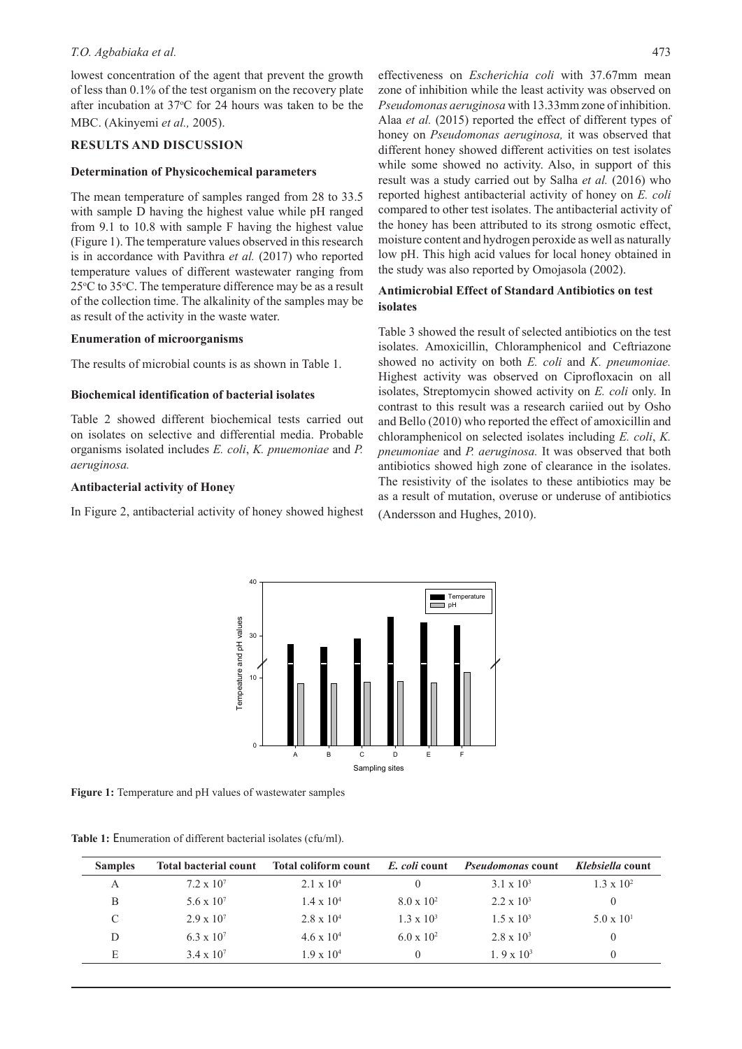### *T.O. Agbabiaka et al.* 473

lowest concentration of the agent that prevent the growth of less than 0.1% of the test organism on the recovery plate after incubation at 37°C for 24 hours was taken to be the MBC. (Akinyemi *et al.,* 2005).

# **RESULTS AND DISCUSSION**

### **Determination of Physicochemical parameters**

The mean temperature of samples ranged from 28 to 33.5 with sample D having the highest value while pH ranged from 9.1 to 10.8 with sample F having the highest value (Figure 1). The temperature values observed in this research is in accordance with Pavithra *et al.* (2017) who reported temperature values of different wastewater ranging from 25°C to 35°C. The temperature difference may be as a result of the collection time. The alkalinity of the samples may be as result of the activity in the waste water.

### **Enumeration of microorganisms**

The results of microbial counts is as shown in Table 1.

### **Biochemical identification of bacterial isolates**

Table 2 showed different biochemical tests carried out on isolates on selective and differential media. Probable organisms isolated includes *E. coli*, *K. pnuemoniae* and *P. aeruginosa.* 

### **Antibacterial activity of Honey**

In Figure 2, antibacterial activity of honey showed highest

effectiveness on *Escherichia coli* with 37.67mm mean zone of inhibition while the least activity was observed on *Pseudomonas aeruginosa* with 13.33mm zone of inhibition. Alaa *et al.* (2015) reported the effect of different types of honey on *Pseudomonas aeruginosa,* it was observed that different honey showed different activities on test isolates while some showed no activity. Also, in support of this result was a study carried out by Salha *et al.* (2016) who reported highest antibacterial activity of honey on *E. coli* compared to other test isolates. The antibacterial activity of the honey has been attributed to its strong osmotic effect, moisture content and hydrogen peroxide as well as naturally low pH. This high acid values for local honey obtained in the study was also reported by Omojasola (2002).

# **Antimicrobial Effect of Standard Antibiotics on test isolates**

Table 3 showed the result of selected antibiotics on the test isolates. Amoxicillin, Chloramphenicol and Ceftriazone showed no activity on both *E. coli* and *K. pneumoniae.*  Highest activity was observed on Ciprofloxacin on all isolates, Streptomycin showed activity on *E. coli* only. In contrast to this result was a research cariied out by Osho and Bello (2010) who reported the effect of amoxicillin and chloramphenicol on selected isolates including *E. coli*, *K. pneumoniae* and *P. aeruginosa.* It was observed that both antibiotics showed high zone of clearance in the isolates. The resistivity of the isolates to these antibiotics may be as a result of mutation, overuse or underuse of antibiotics (Andersson and Hughes, 2010).



**Figure 1:** Temperature and pH values of wastewater samples

| Table 1: Enumeration of different bacterial isolates (cfu/ml). |  |  |
|----------------------------------------------------------------|--|--|
|----------------------------------------------------------------|--|--|

| <b>Samples</b> | <b>Total bacterial count</b> | Total coliform count | E. coli count       | <i>Pseudomonas</i> count | Klebsiella count    |
|----------------|------------------------------|----------------------|---------------------|--------------------------|---------------------|
| А              | $7.2 \times 10^7$            | $2.1 \times 10^{4}$  |                     | $3.1 \times 10^3$        | $1.3 \times 10^{2}$ |
| B              | 5.6 x $10^{7}$               | $1.4 \times 10^{4}$  | $8.0 \times 10^{2}$ | $2.2 \times 10^3$        |                     |
| C              | $2.9 \times 10^{7}$          | $2.8 \times 10^4$    | $1.3 \times 10^3$   | $1.5 \times 10^{3}$      | $5.0 \times 10^{1}$ |
| D              | $6.3 \times 10^{7}$          | $4.6 \times 10^{4}$  | $6.0 \times 10^{2}$ | $2.8 \times 10^3$        |                     |
| E              | $3.4 \times 10^{7}$          | $1.9 \times 10^{4}$  | $\theta$            | 1. 9 x $10^3$            | $\Omega$            |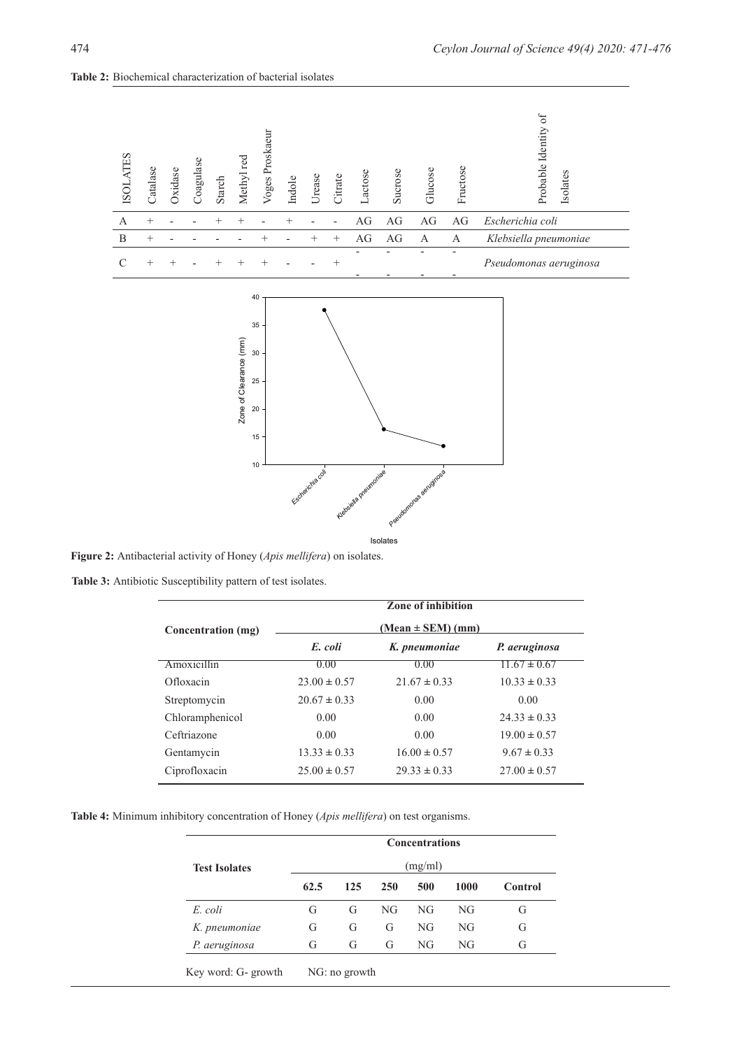

**Table 2:** Biochemical characterization of bacterial isolates

**Figure 2:** Antibacterial activity of Honey (*Apis mellifera*) on isolates.

**Table 3:** Antibiotic Susceptibility pattern of test isolates.

|                    | Zone of inhibition |                       |                  |  |
|--------------------|--------------------|-----------------------|------------------|--|
| Concentration (mg) |                    | $(Mean \pm SEM)$ (mm) |                  |  |
|                    | E. coli            | K. pneumoniae         | P. aeruginosa    |  |
| Amoxicillin        | 0.00               | 0.00                  | $11.67 \pm 0.67$ |  |
| Ofloxacin          | $23.00 \pm 0.57$   | $21.67 \pm 0.33$      | $10.33 \pm 0.33$ |  |
| Streptomycin       | $20.67 \pm 0.33$   | 0.00                  | 0.00             |  |
| Chloramphenicol    | 0.00               | 0.00                  | $24.33 \pm 0.33$ |  |
| Ceftriazone        | 0.00               | 0.00                  | $19.00 \pm 0.57$ |  |
| Gentamycin         | $13.33 \pm 0.33$   | $16.00 \pm 0.57$      | $9.67 \pm 0.33$  |  |
| Ciprofloxacin      | $25.00 \pm 0.57$   | $29.33 \pm 0.33$      | $27.00 \pm 0.57$ |  |

**Table 4:** Minimum inhibitory concentration of Honey (*Apis mellifera*) on test organisms.

|                      | <b>Concentrations</b> |     |            |     |      |                |
|----------------------|-----------------------|-----|------------|-----|------|----------------|
| <b>Test Isolates</b> | (mg/ml)               |     |            |     |      |                |
|                      | 62.5                  | 125 | <b>250</b> | 500 | 1000 | <b>Control</b> |
| E. coli              | G                     | G   | NG         | NG  | NG   | G              |
| K. pneumoniae        | G                     | G   | G          | NG  | NG.  | G              |
| P. aeruginosa        | G                     | G   | G          | NG  | NG   | G              |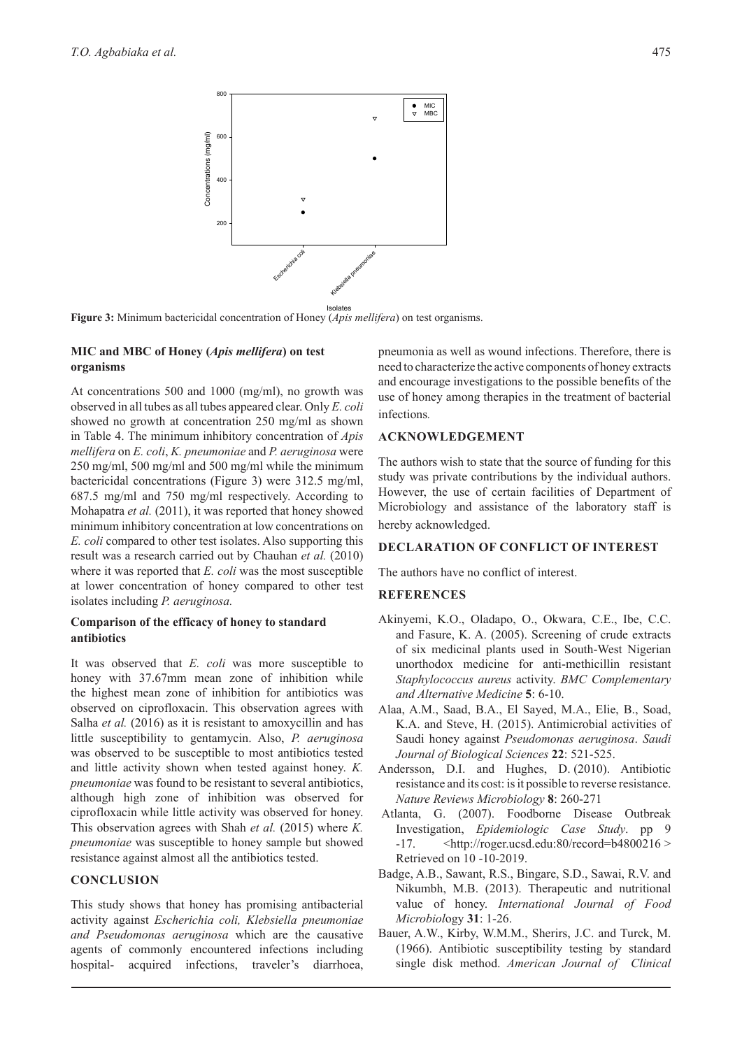

**Figure 3:** Minimum bactericidal concentration of Honey (*Apis mellifera*) on test organisms.

## **MIC and MBC of Honey (***Apis mellifera***) on test organisms**

At concentrations 500 and 1000 (mg/ml), no growth was observed in all tubes as all tubes appeared clear. Only *E. coli*  showed no growth at concentration 250 mg/ml as shown in Table 4. The minimum inhibitory concentration of *Apis mellifera* on *E. coli*, *K. pneumoniae* and *P. aeruginosa* were 250 mg/ml, 500 mg/ml and 500 mg/ml while the minimum bactericidal concentrations (Figure 3) were 312.5 mg/ml, 687.5 mg/ml and 750 mg/ml respectively. According to Mohapatra *et al.* (2011), it was reported that honey showed minimum inhibitory concentration at low concentrations on *E. coli* compared to other test isolates. Also supporting this result was a research carried out by Chauhan *et al.* (2010) where it was reported that *E. coli* was the most susceptible at lower concentration of honey compared to other test isolates including *P. aeruginosa.*

# **Comparison of the efficacy of honey to standard antibiotics**

It was observed that *E. coli* was more susceptible to honey with 37.67mm mean zone of inhibition while the highest mean zone of inhibition for antibiotics was observed on ciprofloxacin. This observation agrees with Salha *et al.* (2016) as it is resistant to amoxycillin and has little susceptibility to gentamycin. Also, *P. aeruginosa*  was observed to be susceptible to most antibiotics tested and little activity shown when tested against honey. *K. pneumoniae* was found to be resistant to several antibiotics, although high zone of inhibition was observed for ciprofloxacin while little activity was observed for honey. This observation agrees with Shah *et al.* (2015) where *K. pneumoniae* was susceptible to honey sample but showed resistance against almost all the antibiotics tested.

# **CONCLUSION**

This study shows that honey has promising antibacterial activity against *Escherichia coli, Klebsiella pneumoniae and Pseudomonas aeruginosa* which are the causative agents of commonly encountered infections including hospital- acquired infections, traveler's diarrhoea,

pneumonia as well as wound infections. Therefore, there is need to characterize the active components of honey extracts and encourage investigations to the possible benefits of the use of honey among therapies in the treatment of bacterial infections*.*

# **ACKNOWLEDGEMENT**

The authors wish to state that the source of funding for this study was private contributions by the individual authors. However, the use of certain facilities of Department of Microbiology and assistance of the laboratory staff is hereby acknowledged.

# **DECLARATION OF CONFLICT OF INTEREST**

The authors have no conflict of interest.

# **REFERENCES**

- Akinyemi, K.O., Oladapo, O., Okwara, C.E., Ibe, C.C. and Fasure, K. A. (2005). Screening of crude extracts of six medicinal plants used in South-West Nigerian unorthodox medicine for anti-methicillin resistant *Staphylococcus aureus* activity. *BMC Complementary and Alternative Medicine* **5**: 6-10.
- Alaa, A.M., Saad, B.A., El Sayed, M.A., Elie, B., Soad, K.A. and Steve, H. (2015). Antimicrobial activities of Saudi honey against *Pseudomonas aeruginosa*. *Saudi Journal of Biological Sciences* **22**: 521-525.
- Andersson, D.I. and Hughes, D. (2010). Antibiotic resistance and its cost: is it possible to reverse resistance. *Nature Reviews Microbiology* **8**: 260-271
- Atlanta, G. (2007). Foodborne Disease Outbreak Investigation, *Epidemiologic Case Study*. pp 9  $-17.$   $\leq$ http://roger.ucsd.edu:80/record=b4800216 > Retrieved on 10 -10-2019.
- Badge, A.B., Sawant, R.S., Bingare, S.D., Sawai, R.V. and Nikumbh, M.B. (2013). Therapeutic and nutritional value of honey. *International Journal of Food Microbiol*ogy **31**: 1-26.
- Bauer, A.W., Kirby, W.M.M., Sherirs, J.C. and Turck, M. (1966). Antibiotic susceptibility testing by standard single disk method. *American Journal of Clinical*